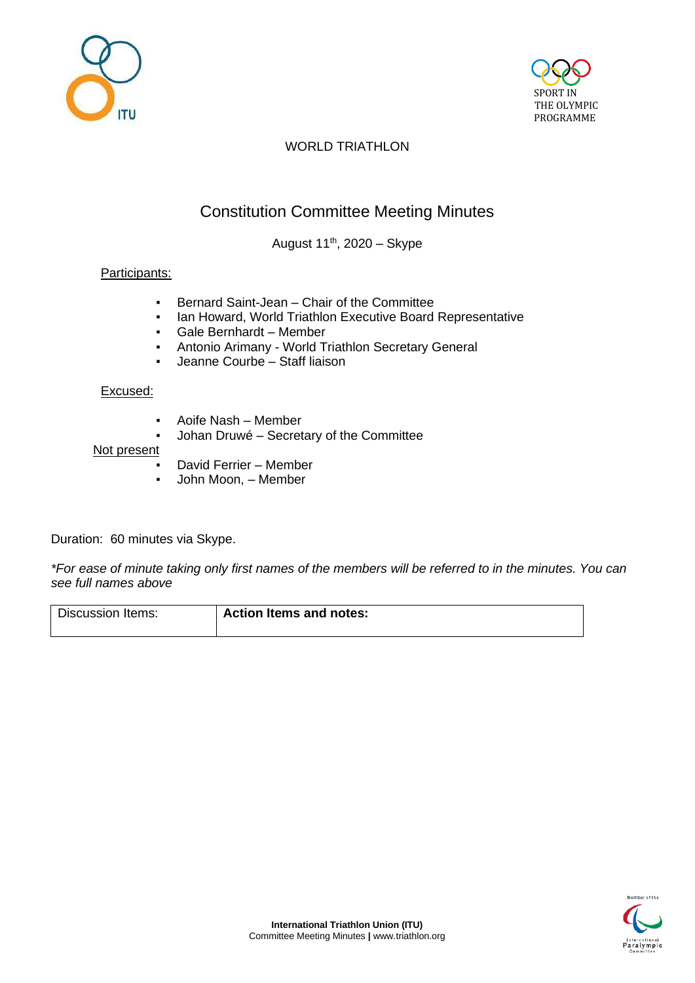



# WORLD TRIATHLON

# Constitution Committee Meeting Minutes

August  $11^{th}$ , 2020 – Skype

### Participants:

- Bernard Saint-Jean Chair of the Committee
- Ian Howard, World Triathlon Executive Board Representative
- Gale Bernhardt Member
- Antonio Arimany World Triathlon Secretary General
- Jeanne Courbe Staff liaison

#### Excused:

- Aoife Nash Member
- Johan Druwé Secretary of the Committee

#### Not present

- David Ferrier Member
- John Moon, Member

Duration: 60 minutes via Skype.

*\*For ease of minute taking only first names of the members will be referred to in the minutes. You can see full names above*

Discussion Items: **Action Items and notes:**